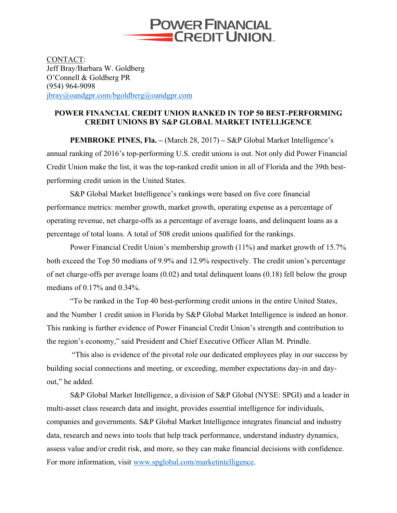

CONTACT: Jeff Bray/Barbara W. Goldberg O'Connell & Goldberg PR (954) 964-9098 jbray@oandgpr.com/bgoldberg@oandgpr.com

## **POWER FINANCIAL CREDIT UNION RANKED IN TOP 50 BEST-PERFORMING CREDIT UNIONS BY S&P GLOBAL MARKET INTELLIGENCE**

**PEMBROKE PINES, Fla. –** (March 28, 2017) **–** S&P Global Market Intelligence's annual ranking of 2016's top-performing U.S. credit unions is out. Not only did Power Financial Credit Union make the list, it was the top-ranked credit union in all of Florida and the 39th bestperforming credit union in the United States.

S&P Global Market Intelligence's rankings were based on five core financial performance metrics: member growth, market growth, operating expense as a percentage of operating revenue, net charge-offs as a percentage of average loans, and delinquent loans as a percentage of total loans. A total of 508 credit unions qualified for the rankings.

Power Financial Credit Union's membership growth (11%) and market growth of 15.7% both exceed the Top 50 medians of 9.9% and 12.9% respectively. The credit union's percentage of net charge-offs per average loans (0.02) and total delinquent loans (0.18) fell below the group medians of 0.17% and 0.34%.

"To be ranked in the Top 40 best-performing credit unions in the entire United States, and the Number 1 credit union in Florida by S&P Global Market Intelligence is indeed an honor. This ranking is further evidence of Power Financial Credit Union's strength and contribution to the region's economy," said President and Chief Executive Officer Allan M. Prindle.

"This also is evidence of the pivotal role our dedicated employees play in our success by building social connections and meeting, or exceeding, member expectations day-in and dayout," he added.

S&P Global Market Intelligence, a division of S&P Global (NYSE: SPGI) and a leader in multi-asset class research data and insight, provides essential intelligence for individuals, companies and governments. S&P Global Market Intelligence integrates financial and industry data, research and news into tools that help track performance, understand industry dynamics, assess value and/or credit risk, and more, so they can make financial decisions with confidence. For more information, visit www.spglobal.com/marketintelligence.